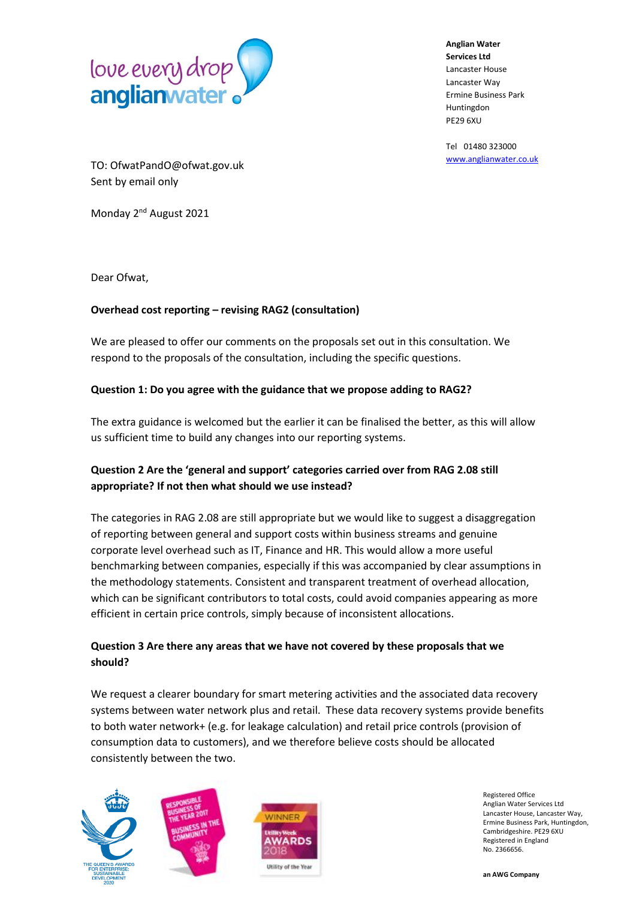

**Anglian Water Services Ltd** Lancaster House Lancaster Way Ermine Business Park Huntingdon PE29 6XU

Tel 01480 323000 [www.anglianwater.co.uk](http://www.anglianwater.co.uk/)

TO: OfwatPandO@ofwat.gov.uk Sent by email only

Monday 2<sup>nd</sup> August 2021

Dear Ofwat,

## **Overhead cost reporting – revising RAG2 (consultation)**

We are pleased to offer our comments on the proposals set out in this consultation. We respond to the proposals of the consultation, including the specific questions.

## **Question 1: Do you agree with the guidance that we propose adding to RAG2?**

The extra guidance is welcomed but the earlier it can be finalised the better, as this will allow us sufficient time to build any changes into our reporting systems.

## **Question 2 Are the 'general and support' categories carried over from RAG 2.08 still appropriate? If not then what should we use instead?**

The categories in RAG 2.08 are still appropriate but we would like to suggest a disaggregation of reporting between general and support costs within business streams and genuine corporate level overhead such as IT, Finance and HR. This would allow a more useful benchmarking between companies, especially if this was accompanied by clear assumptions in the methodology statements. Consistent and transparent treatment of overhead allocation, which can be significant contributors to total costs, could avoid companies appearing as more efficient in certain price controls, simply because of inconsistent allocations.

## **Question 3 Are there any areas that we have not covered by these proposals that we should?**

We request a clearer boundary for smart metering activities and the associated data recovery systems between water network plus and retail. These data recovery systems provide benefits to both water network+ (e.g. for leakage calculation) and retail price controls (provision of consumption data to customers), and we therefore believe costs should be allocated consistently between the two.





Registered Office Anglian Water Services Ltd Lancaster House, Lancaster Way, Ermine Business Park, Huntingdon, Cambridgeshire. PE29 6XU Registered in England No. 2366656.

**an AWG Company**